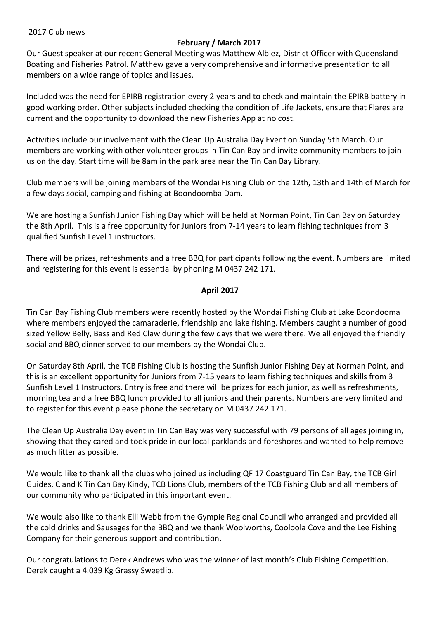#### 2017 Club news

## **February / March 2017**

Our Guest speaker at our recent General Meeting was Matthew Albiez, District Officer with Queensland Boating and Fisheries Patrol. Matthew gave a very comprehensive and informative presentation to all members on a wide range of topics and issues.

Included was the need for EPIRB registration every 2 years and to check and maintain the EPIRB battery in good working order. Other subjects included checking the condition of Life Jackets, ensure that Flares are current and the opportunity to download the new Fisheries App at no cost.

Activities include our involvement with the Clean Up Australia Day Event on Sunday 5th March. Our members are working with other volunteer groups in Tin Can Bay and invite community members to join us on the day. Start time will be 8am in the park area near the Tin Can Bay Library.

Club members will be joining members of the Wondai Fishing Club on the 12th, 13th and 14th of March for a few days social, camping and fishing at Boondoomba Dam.

We are hosting a Sunfish Junior Fishing Day which will be held at Norman Point, Tin Can Bay on Saturday the 8th April. This is a free opportunity for Juniors from 7-14 years to learn fishing techniques from 3 qualified Sunfish Level 1 instructors.

There will be prizes, refreshments and a free BBQ for participants following the event. Numbers are limited and registering for this event is essential by phoning M 0437 242 171.

## **April 2017**

Tin Can Bay Fishing Club members were recently hosted by the Wondai Fishing Club at Lake Boondooma where members enjoyed the camaraderie, friendship and lake fishing. Members caught a number of good sized Yellow Belly, Bass and Red Claw during the few days that we were there. We all enjoyed the friendly social and BBQ dinner served to our members by the Wondai Club.

On Saturday 8th April, the TCB Fishing Club is hosting the Sunfish Junior Fishing Day at Norman Point, and this is an excellent opportunity for Juniors from 7-15 years to learn fishing techniques and skills from 3 Sunfish Level 1 Instructors. Entry is free and there will be prizes for each junior, as well as refreshments, morning tea and a free BBQ lunch provided to all juniors and their parents. Numbers are very limited and to register for this event please phone the secretary on M 0437 242 171.

The Clean Up Australia Day event in Tin Can Bay was very successful with 79 persons of all ages joining in, showing that they cared and took pride in our local parklands and foreshores and wanted to help remove as much litter as possible.

We would like to thank all the clubs who joined us including QF 17 Coastguard Tin Can Bay, the TCB Girl Guides, C and K Tin Can Bay Kindy, TCB Lions Club, members of the TCB Fishing Club and all members of our community who participated in this important event.

We would also like to thank Elli Webb from the Gympie Regional Council who arranged and provided all the cold drinks and Sausages for the BBQ and we thank Woolworths, Cooloola Cove and the Lee Fishing Company for their generous support and contribution.

Our congratulations to Derek Andrews who was the winner of last month's Club Fishing Competition. Derek caught a 4.039 Kg Grassy Sweetlip.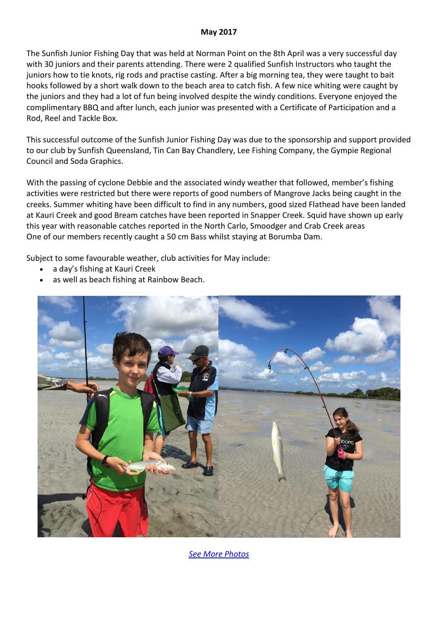#### **May 2017**

The Sunfish Junior Fishing Day that was held at Norman Point on the 8th April was a very successful day with 30 juniors and their parents attending. There were 2 qualified Sunfish Instructors who taught the juniors how to tie knots, rig rods and practise casting. After a big morning tea, they were taught to bait hooks followed by a short walk down to the beach area to catch fish. A few nice whiting were caught by the juniors and they had a lot of fun being involved despite the windy conditions. Everyone enjoyed the complimentary BBQ and after lunch, each junior was presented with a Certificate of Participation and a Rod, Reel and Tackle Box.

This successful outcome of the Sunfish Junior Fishing Day was due to the sponsorship and support provided to our club by Sunfish Queensland, Tin Can Bay Chandlery, Lee Fishing Company, the Gympie Regional Council and Soda Graphics.

With the passing of cyclone Debbie and the associated windy weather that followed, member's fishing activities were restricted but there were reports of good numbers of Mangrove Jacks being caught in the creeks. Summer whiting have been difficult to find in any numbers, good sized Flathead have been landed at Kauri Creek and good Bream catches have been reported in Snapper Creek. Squid have shown up early this year with reasonable catches reported in the North Carlo, Smoodger and Crab Creek areas One of our members recently caught a 50 cm Bass whilst staying at Borumba Dam.

Subject to some favourable weather, club activities for May include:

- a day's fishing at Kauri Creek
- as well as beach fishing at Rainbow Beach.



*[See More Photos](http://tincanbayfishingclub.com.au/tcbfc/photos.html)*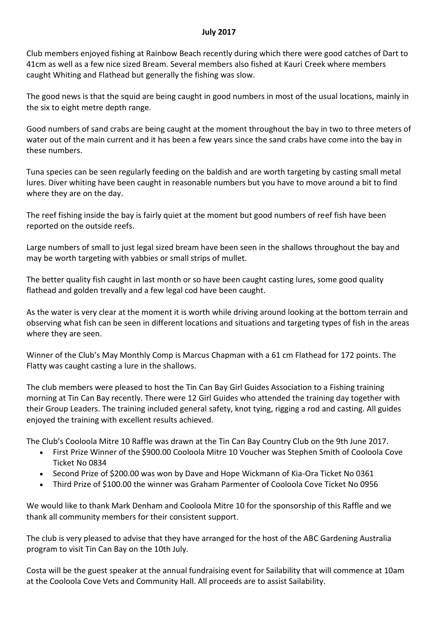### **July 2017**

Club members enjoyed fishing at Rainbow Beach recently during which there were good catches of Dart to 41cm as well as a few nice sized Bream. Several members also fished at Kauri Creek where members caught Whiting and Flathead but generally the fishing was slow.

The good news is that the squid are being caught in good numbers in most of the usual locations, mainly in the six to eight metre depth range.

Good numbers of sand crabs are being caught at the moment throughout the bay in two to three meters of water out of the main current and it has been a few years since the sand crabs have come into the bay in these numbers.

Tuna species can be seen regularly feeding on the baldish and are worth targeting by casting small metal lures. Diver whiting have been caught in reasonable numbers but you have to move around a bit to find where they are on the day.

The reef fishing inside the bay is fairly quiet at the moment but good numbers of reef fish have been reported on the outside reefs.

Large numbers of small to just legal sized bream have been seen in the shallows throughout the bay and may be worth targeting with yabbies or small strips of mullet.

The better quality fish caught in last month or so have been caught casting lures, some good quality flathead and golden trevally and a few legal cod have been caught.

As the water is very clear at the moment it is worth while driving around looking at the bottom terrain and observing what fish can be seen in different locations and situations and targeting types of fish in the areas where they are seen.

Winner of the Club's May Monthly Comp is Marcus Chapman with a 61 cm Flathead for 172 points. The Flatty was caught casting a lure in the shallows.

The club members were pleased to host the Tin Can Bay Girl Guides Association to a Fishing training morning at Tin Can Bay recently. There were 12 Girl Guides who attended the training day together with their Group Leaders. The training included general safety, knot tying, rigging a rod and casting. All guides enjoyed the training with excellent results achieved.

The Club's Cooloola Mitre 10 Raffle was drawn at the Tin Can Bay Country Club on the 9th June 2017.

- First Prize Winner of the \$900.00 Cooloola Mitre 10 Voucher was Stephen Smith of Cooloola Cove Ticket No 0834
- Second Prize of \$200.00 was won by Dave and Hope Wickmann of Kia-Ora Ticket No 0361
- Third Prize of \$100.00 the winner was Graham Parmenter of Cooloola Cove Ticket No 0956

We would like to thank Mark Denham and Cooloola Mitre 10 for the sponsorship of this Raffle and we thank all community members for their consistent support.

The club is very pleased to advise that they have arranged for the host of the ABC Gardening Australia program to visit Tin Can Bay on the 10th July.

Costa will be the guest speaker at the annual fundraising event for Sailability that will commence at 10am at the Cooloola Cove Vets and Community Hall. All proceeds are to assist Sailability.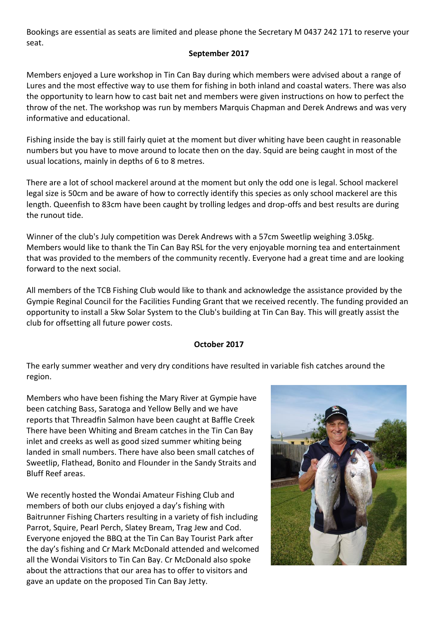Bookings are essential as seats are limited and please phone the Secretary M 0437 242 171 to reserve your seat.

# **September 2017**

Members enjoyed a Lure workshop in Tin Can Bay during which members were advised about a range of Lures and the most effective way to use them for fishing in both inland and coastal waters. There was also the opportunity to learn how to cast bait net and members were given instructions on how to perfect the throw of the net. The workshop was run by members Marquis Chapman and Derek Andrews and was very informative and educational.

Fishing inside the bay is still fairly quiet at the moment but diver whiting have been caught in reasonable numbers but you have to move around to locate then on the day. Squid are being caught in most of the usual locations, mainly in depths of 6 to 8 metres.

There are a lot of school mackerel around at the moment but only the odd one is legal. School mackerel legal size is 50cm and be aware of how to correctly identify this species as only school mackerel are this length. Queenfish to 83cm have been caught by trolling ledges and drop-offs and best results are during the runout tide.

Winner of the club's July competition was Derek Andrews with a 57cm Sweetlip weighing 3.05kg. Members would like to thank the Tin Can Bay RSL for the very enjoyable morning tea and entertainment that was provided to the members of the community recently. Everyone had a great time and are looking forward to the next social.

All members of the TCB Fishing Club would like to thank and acknowledge the assistance provided by the Gympie Reginal Council for the Facilities Funding Grant that we received recently. The funding provided an opportunity to install a 5kw Solar System to the Club's building at Tin Can Bay. This will greatly assist the club for offsetting all future power costs.

# **October 2017**

The early summer weather and very dry conditions have resulted in variable fish catches around the region.

Members who have been fishing the Mary River at Gympie have been catching Bass, Saratoga and Yellow Belly and we have reports that Threadfin Salmon have been caught at Baffle Creek There have been Whiting and Bream catches in the Tin Can Bay inlet and creeks as well as good sized summer whiting being landed in small numbers. There have also been small catches of Sweetlip, Flathead, Bonito and Flounder in the Sandy Straits and Bluff Reef areas.

We recently hosted the Wondai Amateur Fishing Club and members of both our clubs enjoyed a day's fishing with Baitrunner Fishing Charters resulting in a variety of fish including Parrot, Squire, Pearl Perch, Slatey Bream, Trag Jew and Cod. Everyone enjoyed the BBQ at the Tin Can Bay Tourist Park after the day's fishing and Cr Mark McDonald attended and welcomed all the Wondai Visitors to Tin Can Bay. Cr McDonald also spoke about the attractions that our area has to offer to visitors and gave an update on the proposed Tin Can Bay Jetty.